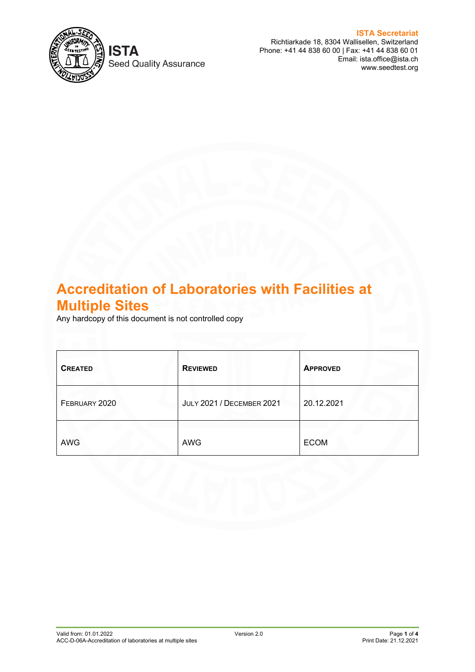

**Seed Quality Assurance** 

**ISTA Secretariat** Richtiarkade 18, 8304 Wallisellen, Switzerland Phone: +41 44 838 60 00 | Fax: +41 44 838 60 01 Email: ista.office@ista.ch www.seedtest.org

# **Accreditation of Laboratories with Facilities at Multiple Sites**

Any hardcopy of this document is not controlled copy

| <b>CREATED</b> | <b>REVIEWED</b>                  | <b>APPROVED</b> |
|----------------|----------------------------------|-----------------|
| FEBRUARY 2020  | <b>JULY 2021 / DECEMBER 2021</b> | 20.12.2021      |
| <b>AWG</b>     | <b>AWG</b>                       | <b>ECOM</b>     |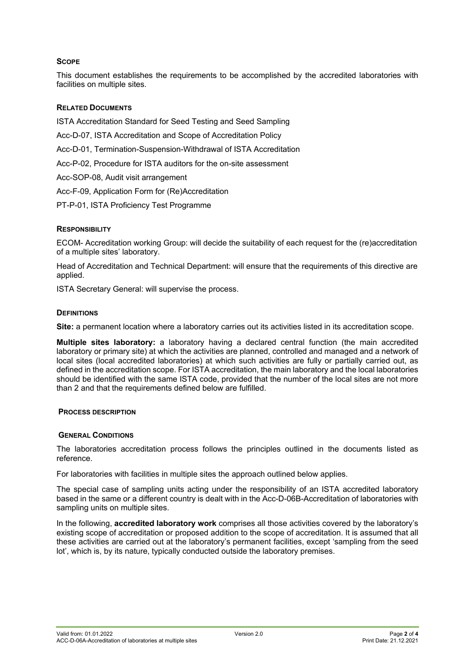# **SCOPE**

This document establishes the requirements to be accomplished by the accredited laboratories with facilities on multiple sites.

# **RELATED DOCUMENTS**

ISTA Accreditation Standard for Seed Testing and Seed Sampling

- Acc-D-07, ISTA Accreditation and Scope of Accreditation Policy
- Acc-D-01, Termination-Suspension-Withdrawal of ISTA Accreditation
- Acc-P-02, Procedure for ISTA auditors for the on-site assessment
- Acc-SOP-08, Audit visit arrangement
- Acc-F-09, Application Form for (Re)Accreditation
- PT-P-01, ISTA Proficiency Test Programme

# **RESPONSIBILITY**

ECOM- Accreditation working Group: will decide the suitability of each request for the (re)accreditation of a multiple sites' laboratory.

Head of Accreditation and Technical Department: will ensure that the requirements of this directive are applied.

ISTA Secretary General: will supervise the process.

# **DEFINITIONS**

**Site:** a permanent location where a laboratory carries out its activities listed in its accreditation scope.

**Multiple sites laboratory:** a laboratory having a declared central function (the main accredited laboratory or primary site) at which the activities are planned, controlled and managed and a network of local sites (local accredited laboratories) at which such activities are fully or partially carried out, as defined in the accreditation scope. For ISTA accreditation, the main laboratory and the local laboratories should be identified with the same ISTA code, provided that the number of the local sites are not more than 2 and that the requirements defined below are fulfilled.

# **PROCESS DESCRIPTION**

# **GENERAL CONDITIONS**

The laboratories accreditation process follows the principles outlined in the documents listed as reference.

For laboratories with facilities in multiple sites the approach outlined below applies.

The special case of sampling units acting under the responsibility of an ISTA accredited laboratory based in the same or a different country is dealt with in the Acc-D-06B-Accreditation of laboratories with sampling units on multiple sites.

In the following, **accredited laboratory work** comprises all those activities covered by the laboratory's existing scope of accreditation or proposed addition to the scope of accreditation. It is assumed that all these activities are carried out at the laboratory's permanent facilities, except 'sampling from the seed lot', which is, by its nature, typically conducted outside the laboratory premises.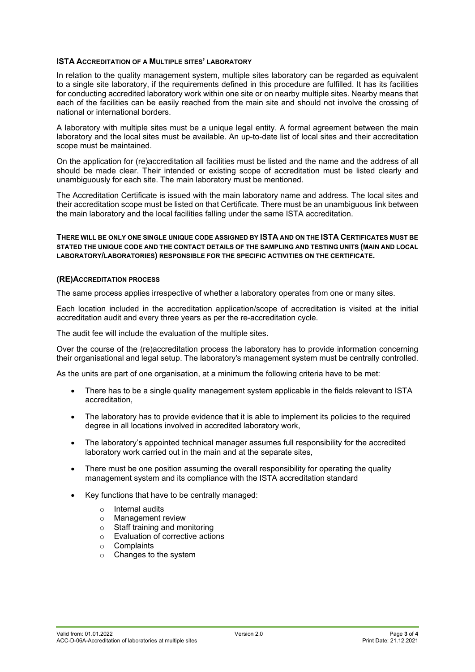## **ISTA ACCREDITATION OF A MULTIPLE SITES' LABORATORY**

In relation to the quality management system, multiple sites laboratory can be regarded as equivalent to a single site laboratory, if the requirements defined in this procedure are fulfilled. It has its facilities for conducting accredited laboratory work within one site or on nearby multiple sites. Nearby means that each of the facilities can be easily reached from the main site and should not involve the crossing of national or international borders.

A laboratory with multiple sites must be a unique legal entity. A formal agreement between the main laboratory and the local sites must be available. An up-to-date list of local sites and their accreditation scope must be maintained.

On the application for (re)accreditation all facilities must be listed and the name and the address of all should be made clear. Their intended or existing scope of accreditation must be listed clearly and unambiguously for each site. The main laboratory must be mentioned.

The Accreditation Certificate is issued with the main laboratory name and address. The local sites and their accreditation scope must be listed on that Certificate. There must be an unambiguous link between the main laboratory and the local facilities falling under the same ISTA accreditation.

**THERE WILL BE ONLY ONE SINGLE UNIQUE CODE ASSIGNED BY ISTA AND ON THE ISTA CERTIFICATES MUST BE STATED THE UNIQUE CODE AND THE CONTACT DETAILS OF THE SAMPLING AND TESTING UNITS (MAIN AND LOCAL LABORATORY/LABORATORIES) RESPONSIBLE FOR THE SPECIFIC ACTIVITIES ON THE CERTIFICATE.**

## **(RE)ACCREDITATION PROCESS**

The same process applies irrespective of whether a laboratory operates from one or many sites.

Each location included in the accreditation application/scope of accreditation is visited at the initial accreditation audit and every three years as per the re-accreditation cycle.

The audit fee will include the evaluation of the multiple sites.

Over the course of the (re)accreditation process the laboratory has to provide information concerning their organisational and legal setup. The laboratory's management system must be centrally controlled.

As the units are part of one organisation, at a minimum the following criteria have to be met:

- There has to be a single quality management system applicable in the fields relevant to ISTA accreditation,
- The laboratory has to provide evidence that it is able to implement its policies to the required degree in all locations involved in accredited laboratory work,
- The laboratory's appointed technical manager assumes full responsibility for the accredited laboratory work carried out in the main and at the separate sites,
- There must be one position assuming the overall responsibility for operating the quality management system and its compliance with the ISTA accreditation standard
- Key functions that have to be centrally managed:
	- o Internal audits<br>
	o Management r
	- **Management review**
	- o Staff training and monitoring
	- $\circ$  Evaluation of corrective actions<br>  $\circ$  Complaints
	- **Complaints**
	- o Changes to the system